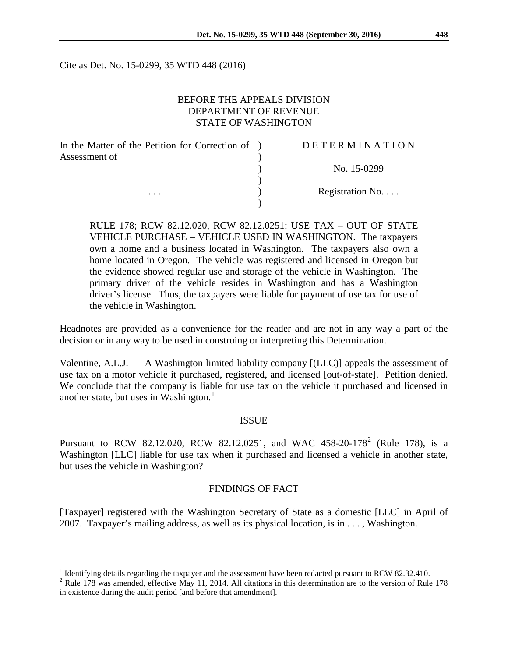Cite as Det. No. 15-0299, 35 WTD 448 (2016)

### BEFORE THE APPEALS DIVISION DEPARTMENT OF REVENUE STATE OF WASHINGTON

| In the Matter of the Petition for Correction of ) | DETERMINATION   |
|---------------------------------------------------|-----------------|
| Assessment of                                     |                 |
|                                                   | No. 15-0299     |
|                                                   |                 |
| $\cdots$                                          | Registration No |
|                                                   |                 |

RULE 178; RCW 82.12.020, RCW 82.12.0251: USE TAX – OUT OF STATE VEHICLE PURCHASE – VEHICLE USED IN WASHINGTON. The taxpayers own a home and a business located in Washington. The taxpayers also own a home located in Oregon. The vehicle was registered and licensed in Oregon but the evidence showed regular use and storage of the vehicle in Washington. The primary driver of the vehicle resides in Washington and has a Washington driver's license. Thus, the taxpayers were liable for payment of use tax for use of the vehicle in Washington.

Headnotes are provided as a convenience for the reader and are not in any way a part of the decision or in any way to be used in construing or interpreting this Determination.

Valentine, A.L.J. – A Washington limited liability company [(LLC)] appeals the assessment of use tax on a motor vehicle it purchased, registered, and licensed [out-of-state]. Petition denied. We conclude that the company is liable for use tax on the vehicle it purchased and licensed in another state, but uses in Washington.<sup>[1](#page-0-0)</sup>

#### ISSUE

Pursuant to RCW 8[2](#page-0-1).12.020, RCW 82.12.0251, and WAC 458-20-178<sup>2</sup> (Rule 178), is a Washington [LLC] liable for use tax when it purchased and licensed a vehicle in another state, but uses the vehicle in Washington?

#### FINDINGS OF FACT

[Taxpayer] registered with the Washington Secretary of State as a domestic [LLC] in April of 2007. Taxpayer's mailing address, as well as its physical location, is in . . . , Washington.

<sup>&</sup>lt;sup>1</sup> Identifying details regarding the taxpayer and the assessment have been redacted pursuant to RCW 82.32.410.

<span id="page-0-1"></span><span id="page-0-0"></span><sup>&</sup>lt;sup>2</sup> Rule 178 was amended, effective May 11, 2014. All citations in this determination are to the version of Rule 178 in existence during the audit period [and before that amendment].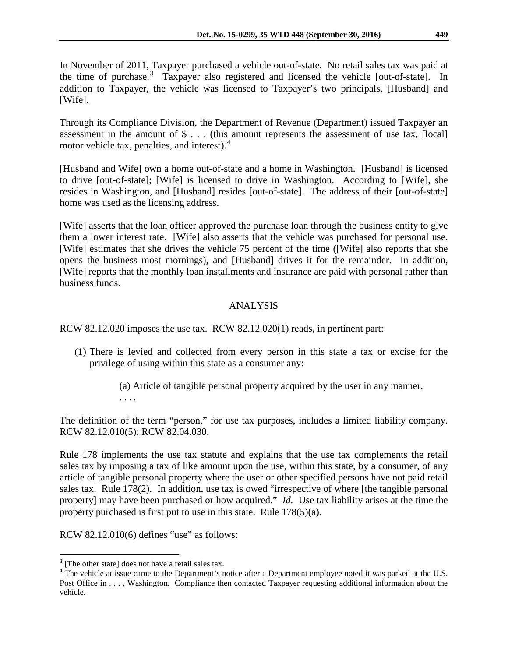In November of 2011, Taxpayer purchased a vehicle out-of-state. No retail sales tax was paid at the time of purchase.<sup>[3](#page-1-0)</sup> Taxpayer also registered and licensed the vehicle [out-of-state]. In addition to Taxpayer, the vehicle was licensed to Taxpayer's two principals, [Husband] and [Wife].

Through its Compliance Division, the Department of Revenue (Department) issued Taxpayer an assessment in the amount of \$ . . . (this amount represents the assessment of use tax, [local] motor vehicle tax, penalties, and interest).<sup>[4](#page-1-1)</sup>

[Husband and Wife] own a home out-of-state and a home in Washington. [Husband] is licensed to drive [out-of-state]; [Wife] is licensed to drive in Washington. According to [Wife], she resides in Washington, and [Husband] resides [out-of-state]. The address of their [out-of-state] home was used as the licensing address.

[Wife] asserts that the loan officer approved the purchase loan through the business entity to give them a lower interest rate. [Wife] also asserts that the vehicle was purchased for personal use. [Wife] estimates that she drives the vehicle 75 percent of the time ([Wife] also reports that she opens the business most mornings), and [Husband] drives it for the remainder. In addition, [Wife] reports that the monthly loan installments and insurance are paid with personal rather than business funds.

# ANALYSIS

RCW 82.12.020 imposes the use tax. RCW 82.12.020(1) reads, in pertinent part:

(1) There is levied and collected from every person in this state a tax or excise for the privilege of using within this state as a consumer any:

> (a) Article of tangible personal property acquired by the user in any manner, . . . .

The definition of the term "person," for use tax purposes, includes a limited liability company. RCW 82.12.010(5); RCW 82.04.030.

Rule 178 implements the use tax statute and explains that the use tax complements the retail sales tax by imposing a tax of like amount upon the use, within this state, by a consumer, of any article of tangible personal property where the user or other specified persons have not paid retail sales tax. Rule 178(2). In addition, use tax is owed "irrespective of where [the tangible personal property] may have been purchased or how acquired." *Id.* Use tax liability arises at the time the property purchased is first put to use in this state. Rule 178(5)(a).

RCW 82.12.010(6) defines "use" as follows:

<span id="page-1-1"></span><span id="page-1-0"></span> $3$  [The other state] does not have a retail sales tax.  $4$  The vehicle at issue came to the Department's notice after a Department employee noted it was parked at the U.S. Post Office in . . . , Washington. Compliance then contacted Taxpayer requesting additional information about the vehicle.